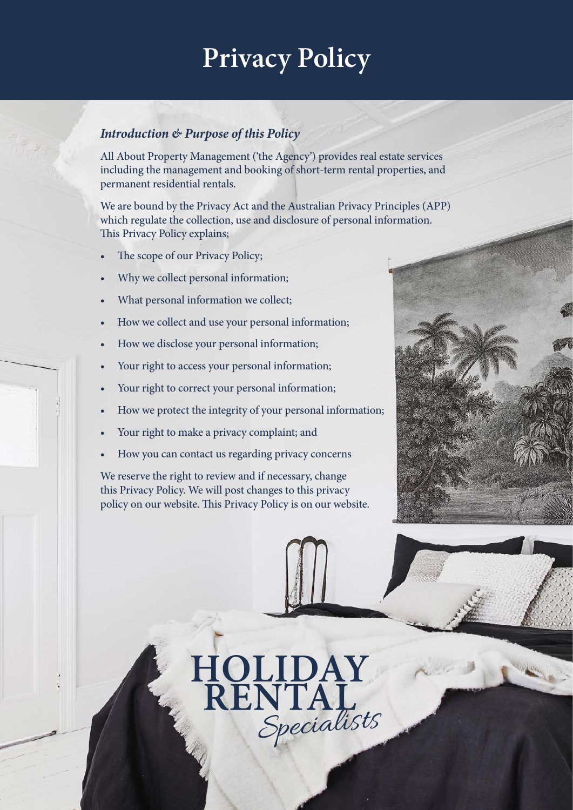# **Privacy Policy**

# *Introduction & Purpose of this Policy*

All About Property Management ('the Agency') provides real estate services including the management and booking of short-term rental properties, and permanent residential rentals.

We are bound by the Privacy Act and the Australian Privacy Principles (APP) which regulate the collection, use and disclosure of personal information. This Privacy Policy explains;

- The scope of our Privacy Policy;
- Why we collect personal information;
- What personal information we collect;
- How we collect and use your personal information;
- How we disclose your personal information;
- Your right to access your personal information;
- Your right to correct your personal information;
- How we protect the integrity of your personal information;
- Your right to make a privacy complaint; and
- How you can contact us regarding privacy concerns

We reserve the right to review and if necessary, change this Privacy Policy. We will post changes to this privacy policy on our website. This Privacy Policy is on our website.

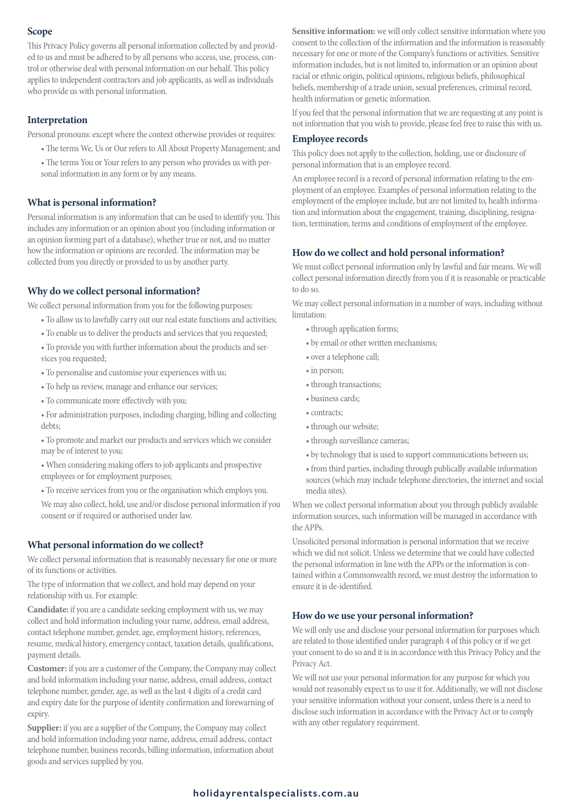# **Scope**

This Privacy Policy governs all personal information collected by and provided to us and must be adhered to by all persons who access, use, process, control or otherwise deal with personal information on our behalf. This policy applies to independent contractors and job applicants, as well as individuals who provide us with personal information.

## **Interpretation**

Personal pronouns: except where the context otherwise provides or requires:

- The terms We, Us or Our refers to All About Property Management; and
- The terms You or Your refers to any person who provides us with personal information in any form or by any means.

#### **What is personal information?**

Personal information is any information that can be used to identify you. This includes any information or an opinion about you (including information or an opinion forming part of a database), whether true or not, and no matter how the information or opinions are recorded. The information may be collected from you directly or provided to us by another party.

#### **Why do we collect personal information?**

We collect personal information from you for the following purposes:

- To allow us to lawfully carry out our real estate functions and activities;
- To enable us to deliver the products and services that you requested;
- To provide you with further information about the products and services you requested;
- To personalise and customise your experiences with us;
- To help us review, manage and enhance our services;
- To communicate more effectively with you;
- For administration purposes, including charging, billing and collecting debts;
- To promote and market our products and services which we consider may be of interest to you;
- When considering making offers to job applicants and prospective employees or for employment purposes;
- To receive services from you or the organisation which employs you.

We may also collect, hold, use and/or disclose personal information if you consent or if required or authorised under law.

#### **What personal information do we collect?**

We collect personal information that is reasonably necessary for one or more of its functions or activities.

The type of information that we collect, and hold may depend on your relationship with us. For example:

**Candidate:** if you are a candidate seeking employment with us, we may collect and hold information including your name, address, email address, contact telephone number, gender, age, employment history, references, resume, medical history, emergency contact, taxation details, qualifications, payment details.

**Customer:** if you are a customer of the Company, the Company may collect and hold information including your name, address, email address, contact telephone number, gender, age, as well as the last 4 digits of a credit card and expiry date for the purpose of identity confirmation and forewarning of expiry.

**Supplier:** if you are a supplier of the Company, the Company may collect and hold information including your name, address, email address, contact telephone number, business records, billing information, information about goods and services supplied by you.

Sensitive information: we will only collect sensitive information where you consent to the collection of the information and the information is reasonably necessary for one or more of the Company's functions or activities. Sensitive information includes, but is not limited to, information or an opinion about racial or ethnic origin, political opinions, religious beliefs, philosophical beliefs, membership of a trade union, sexual preferences, criminal record, health information or genetic information.

If you feel that the personal information that we are requesting at any point is not information that you wish to provide, please feel free to raise this with us.

#### **Employee records**

This policy does not apply to the collection, holding, use or disclosure of personal information that is an employee record.

An employee record is a record of personal information relating to the employment of an employee. Examples of personal information relating to the employment of the employee include, but are not limited to, health information and information about the engagement, training, disciplining, resignation, termination, terms and conditions of employment of the employee.

#### **How do we collect and hold personal information?**

We must collect personal information only by lawful and fair means. We will collect personal information directly from you if it is reasonable or practicable to do so.

We may collect personal information in a number of ways, including without limitation:

- through application forms;
- by email or other written mechanisms;
- over a telephone call;
- in person;
- through transactions;
- business cards;
- contracts;
- through our website;
- through surveillance cameras;
- by technology that is used to support communications between us;
- from third parties, including through publically available information sources (which may include telephone directories, the internet and social media sites).

When we collect personal information about you through publicly available information sources, such information will be managed in accordance with the APPs.

Unsolicited personal information is personal information that we receive which we did not solicit. Unless we determine that we could have collected the personal information in line with the APPs or the information is contained within a Commonwealth record, we must destroy the information to ensure it is de-identified.

#### **How do we use your personal information?**

We will only use and disclose your personal information for purposes which are related to those identified under paragraph 4 of this policy or if we get your consent to do so and it is in accordance with this Privacy Policy and the Privacy Act.

We will not use your personal information for any purpose for which you would not reasonably expect us to use it for. Additionally, we will not disclose your sensitive information without your consent, unless there is a need to disclose such information in accordance with the Privacy Act or to comply with any other regulatory requirement.

# **holidayrentalspecialists.com.au**